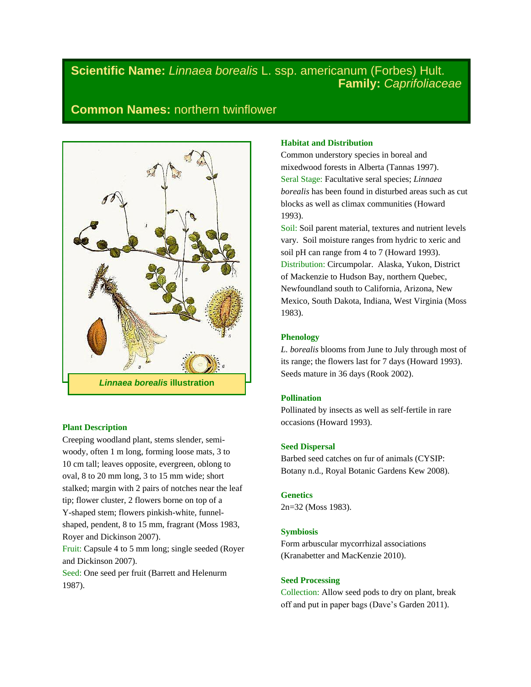# **Scientific Name:** *Linnaea borealis* L. ssp. americanum (Forbes) Hult. **Family:** *Caprifoliaceae*

# **Common Names:** northern twinflower



## **Plant Description**

Creeping woodland plant, stems slender, semiwoody, often 1 m long, forming loose mats, 3 to 10 cm tall; leaves opposite, evergreen, oblong to oval, 8 to 20 mm long, 3 to 15 mm wide; short stalked; margin with 2 pairs of notches near the leaf tip; flower cluster, 2 flowers borne on top of a Y-shaped stem; flowers pinkish-white, funnelshaped, pendent, 8 to 15 mm, fragrant (Moss 1983, Royer and Dickinson 2007). Fruit: Capsule 4 to 5 mm long; single seeded (Royer and Dickinson 2007).

Seed: One seed per fruit (Barrett and Helenurm 1987).

# **Habitat and Distribution**

Common understory species in boreal and mixedwood forests in Alberta (Tannas 1997). Seral Stage: Facultative seral species; *Linnaea borealis* has been found in disturbed areas such as cut blocks as well as climax communities (Howard 1993).

Soil: Soil parent material, textures and nutrient levels vary. Soil moisture ranges from hydric to xeric and soil pH can range from 4 to 7 (Howard 1993). Distribution: Circumpolar. Alaska, Yukon, District of Mackenzie to Hudson Bay, northern Quebec, Newfoundland south to California, Arizona, New Mexico, South Dakota, Indiana, West Virginia (Moss 1983).

## **Phenology**

*L. borealis* blooms from June to July through most of its range; the flowers last for 7 days (Howard 1993). Seeds mature in 36 days (Rook 2002).

## **Pollination**

Pollinated by insects as well as self-fertile in rare occasions (Howard 1993).

## **Seed Dispersal**

Barbed seed catches on fur of animals (CYSIP: Botany n.d., Royal Botanic Gardens Kew 2008).

## **Genetics**

2n=32 (Moss 1983).

## **Symbiosis**

Form arbuscular mycorrhizal associations (Kranabetter and MacKenzie 2010).

## **Seed Processing**

Collection: Allow seed pods to dry on plant, break off and put in paper bags (Dave's Garden 2011).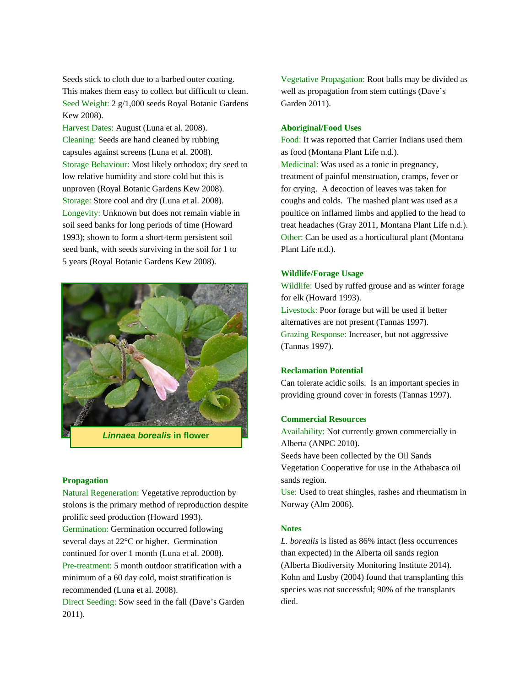Seeds stick to cloth due to a barbed outer coating. This makes them easy to collect but difficult to clean. Seed Weight: 2 g/1,000 seeds Royal Botanic Gardens Kew 2008).

Harvest Dates: August (Luna et al. 2008). Cleaning: Seeds are hand cleaned by rubbing capsules against screens (Luna et al. 2008). Storage Behaviour: Most likely orthodox; dry seed to low relative humidity and store cold but this is unproven (Royal Botanic Gardens Kew 2008). Storage: Store cool and dry (Luna et al. 2008). Longevity: Unknown but does not remain viable in soil seed banks for long periods of time (Howard 1993); shown to form a short-term persistent soil seed bank, with seeds surviving in the soil for 1 to 5 years (Royal Botanic Gardens Kew 2008).



*Linnaea borealis* **in flower**

#### **Propagation**

Natural Regeneration: Vegetative reproduction by stolons is the primary method of reproduction despite prolific seed production (Howard 1993). Germination: Germination occurred following several days at 22°C or higher. Germination continued for over 1 month (Luna et al. 2008). Pre-treatment: 5 month outdoor stratification with a minimum of a 60 day cold, moist stratification is recommended (Luna et al. 2008).

Direct Seeding: Sow seed in the fall (Dave's Garden 2011).

Vegetative Propagation: Root balls may be divided as well as propagation from stem cuttings (Dave's Garden 2011).

#### **Aboriginal/Food Uses**

Food: It was reported that Carrier Indians used them as food (Montana Plant Life n.d.). Medicinal: Was used as a tonic in pregnancy, treatment of painful menstruation, cramps, fever or for crying. A decoction of leaves was taken for coughs and colds. The mashed plant was used as a poultice on inflamed limbs and applied to the head to treat headaches (Gray 2011, Montana Plant Life n.d.). Other: Can be used as a horticultural plant (Montana Plant Life n.d.).

#### **Wildlife/Forage Usage**

Wildlife: Used by ruffed grouse and as winter forage for elk (Howard 1993).

Livestock: Poor forage but will be used if better alternatives are not present (Tannas 1997). Grazing Response: Increaser, but not aggressive (Tannas 1997).

#### **Reclamation Potential**

Can tolerate acidic soils. Is an important species in providing ground cover in forests (Tannas 1997).

#### **Commercial Resources**

Availability: Not currently grown commercially in Alberta (ANPC 2010).

Seeds have been collected by the Oil Sands Vegetation Cooperative for use in the Athabasca oil sands region.

Use: Used to treat shingles, rashes and rheumatism in Norway (Alm 2006).

#### **Notes**

*L. borealis* is listed as 86% intact (less occurrences than expected) in the Alberta oil sands region (Alberta Biodiversity Monitoring Institute 2014). Kohn and Lusby (2004) found that transplanting this species was not successful; 90% of the transplants died.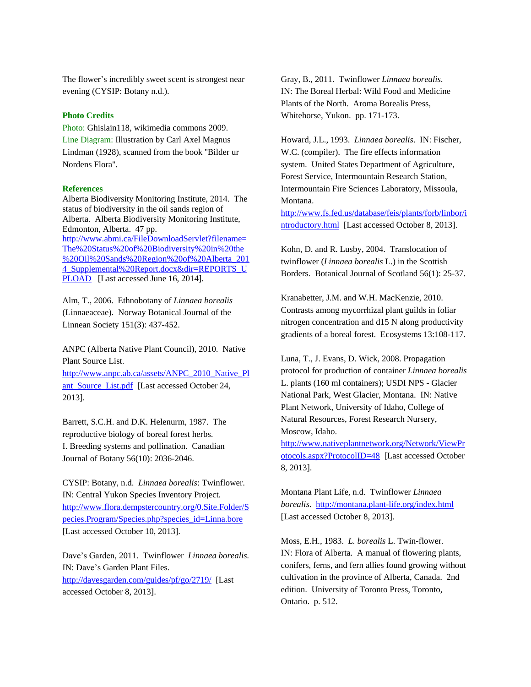The flower's incredibly sweet scent is strongest near evening (CYSIP: Botany n.d.).

#### **Photo Credits**

Photo: Ghislain118, wikimedia commons 2009. Line Diagram: Illustration by Carl Axel Magnus Lindman (1928), scanned from the book ''Bilder ur Nordens Flora''.

#### **References**

Alberta Biodiversity Monitoring Institute, 2014. The status of biodiversity in the oil sands region of Alberta. Alberta Biodiversity Monitoring Institute, Edmonton, Alberta. 47 pp. [http://www.abmi.ca/FileDownloadServlet?filename=](http://www.abmi.ca/FileDownloadServlet?filename=The%20Status%20of%20Biodiversity%20in%20the%20Oil%20Sands%20Region%20of%20Alberta_2014_Supplemental%20Report.docx&dir=REPORTS_UPLOAD) [The%20Status%20of%20Biodiversity%20in%20the](http://www.abmi.ca/FileDownloadServlet?filename=The%20Status%20of%20Biodiversity%20in%20the%20Oil%20Sands%20Region%20of%20Alberta_2014_Supplemental%20Report.docx&dir=REPORTS_UPLOAD) [%20Oil%20Sands%20Region%20of%20Alberta\\_201](http://www.abmi.ca/FileDownloadServlet?filename=The%20Status%20of%20Biodiversity%20in%20the%20Oil%20Sands%20Region%20of%20Alberta_2014_Supplemental%20Report.docx&dir=REPORTS_UPLOAD) [4\\_Supplemental%20Report.docx&dir=REPORTS\\_U](http://www.abmi.ca/FileDownloadServlet?filename=The%20Status%20of%20Biodiversity%20in%20the%20Oil%20Sands%20Region%20of%20Alberta_2014_Supplemental%20Report.docx&dir=REPORTS_UPLOAD) [PLOAD](http://www.abmi.ca/FileDownloadServlet?filename=The%20Status%20of%20Biodiversity%20in%20the%20Oil%20Sands%20Region%20of%20Alberta_2014_Supplemental%20Report.docx&dir=REPORTS_UPLOAD) [Last accessed June 16, 2014].

Alm, T., 2006. Ethnobotany of *Linnaea borealis* (Linnaeaceae). Norway Botanical Journal of the Linnean Society 151(3): 437-452.

ANPC (Alberta Native Plant Council), 2010. Native Plant Source List.

[http://www.anpc.ab.ca/assets/ANPC\\_2010\\_Native\\_Pl](http://www.anpc.ab.ca/assets/ANPC_2010_Native_Plant_Source_List.pdf) [ant\\_Source\\_List.pdf](http://www.anpc.ab.ca/assets/ANPC_2010_Native_Plant_Source_List.pdf) [Last accessed October 24, 2013].

Barrett, S.C.H. and D.K. Helenurm, 1987. The reproductive biology of boreal forest herbs. I. Breeding systems and pollination. Canadian Journal of Botany 56(10): 2036-2046.

CYSIP: Botany, n.d. *Linnaea borealis*: Twinflower. IN: Central Yukon Species Inventory Project. [http://www.flora.dempstercountry.org/0.Site.Folder/S](http://www.flora.dempstercountry.org/0.Site.Folder/Species.Program/Species.php?species_id=Linna.bore) [pecies.Program/Species.php?species\\_id=Linna.bore](http://www.flora.dempstercountry.org/0.Site.Folder/Species.Program/Species.php?species_id=Linna.bore) [Last accessed October 10, 2013].

Dave's Garden, 2011. Twinflower *Linnaea borealis.* IN: Dave's Garden Plant Files. <http://davesgarden.com/guides/pf/go/2719/> [Last accessed October 8, 2013].

Gray, B., 2011. Twinflower *Linnaea borealis*. IN: The Boreal Herbal: Wild Food and Medicine Plants of the North. Aroma Borealis Press, Whitehorse, Yukon. pp. 171-173.

Howard, J.L., 1993. *Linnaea borealis*. IN: Fischer, W.C. (compiler). The fire effects information system. United States Department of Agriculture, Forest Service, Intermountain Research Station, Intermountain Fire Sciences Laboratory, Missoula, Montana.

[http://www.fs.fed.us/database/feis/plants/forb/linbor/i](http://www.fs.fed.us/database/feis/plants/forb/linbor/introductory.html) [ntroductory.html](http://www.fs.fed.us/database/feis/plants/forb/linbor/introductory.html) [Last accessed October 8, 2013].

Kohn, D. and R. Lusby, 2004. Translocation of twinflower (*Linnaea borealis* L.) in the Scottish Borders. Botanical Journal of Scotland 56(1): 25-37.

Kranabetter, J.M. and W.H. MacKenzie, 2010. Contrasts among mycorrhizal plant guilds in foliar nitrogen concentration and d15 N along productivity gradients of a boreal forest. Ecosystems 13:108-117.

Luna, T., J. Evans, D. Wick, 2008. Propagation protocol for production of container *Linnaea borealis* L. plants (160 ml containers); USDI NPS - Glacier National Park, West Glacier, Montana. IN: Native Plant Network, University of Idaho, College of Natural Resources, Forest Research Nursery, Moscow, Idaho.

[http://www.nativeplantnetwork.org/Network/ViewPr](http://www.nativeplantnetwork.org/Network/ViewProtocols.aspx?ProtocolID=48) [otocols.aspx?ProtocolID=48](http://www.nativeplantnetwork.org/Network/ViewProtocols.aspx?ProtocolID=48) [Last accessed October 8, 2013].

Montana Plant Life, n.d. Twinflower *Linnaea borealis*. <http://montana.plant-life.org/index.html> [Last accessed October 8, 2013].

Moss, E.H., 1983. *L. borealis* L. Twin-flower. IN: Flora of Alberta. A manual of flowering plants, conifers, ferns, and fern allies found growing without cultivation in the province of Alberta, Canada. 2nd edition. University of Toronto Press, Toronto, Ontario. p. 512.